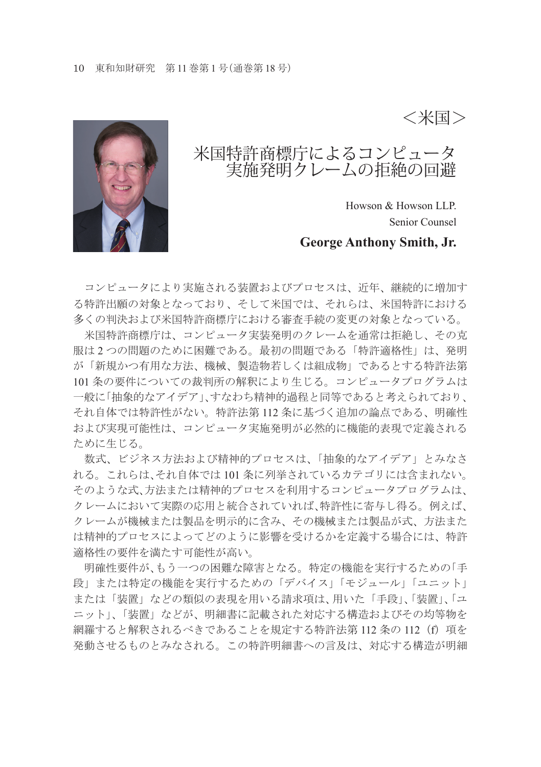<米国>



## 米国特許商標庁によるコンピュータ 実施発明クレームの拒絶の回避

Howson & Howson LLP. Senior Counsel

#### **George Anthony Smith, Jr.**

コンピュータにより実施される装置およびプロセスは、近年、継続的に増加す る特許出願の対象となっており、そして米国では、それらは、米国特許における 多くの判決および米国特許商標庁における審査手続の変更の対象となっている。

 米国特許商標庁は、コンピュータ実装発明のクレームを通常は拒絶し、その克 服は 2 つの問題のために困難である。最初の問題である「特許適格性」は、発明 が「新規かつ有用な方法、機械、製造物若しくは組成物」であるとする特許法第 101 条の要件についての裁判所の解釈により生じる。コンピュータプログラムは 一般に「抽象的なアイデア」、すなわち精神的過程と同等であると考えられており、 それ自体では特許性がない。特許法第 112 条に基づく追加の論点である、明確性 および実現可能性は、コンピュータ実施発明が必然的に機能的表現で定義される ために生じる。

 数式、ビジネス方法および精神的プロセスは、「抽象的なアイデア」とみなさ れる。これらは、それ自体では 101 条に列挙されているカテゴリには含まれない。 そのような式、方法または精神的プロセスを利用するコンピュータプログラムは、 クレームにおいて実際の応用と統合されていれば、特許性に寄与し得る。例えば、 クレームが機械または製品を明示的に含み、その機械または製品が式、方法また は精神的プロセスによってどのように影響を受けるかを定義する場合には、特許 適格性の要件を満たす可能性が高い。

 明確性要件が、もう一つの困難な障害となる。特定の機能を実行するための「手 段」または特定の機能を実行するための「デバイス」「モジュール」「ユニット」 または「装置」などの類似の表現を用いる請求項は、用いた「手段」、「装置」、「ユ ニット」、「装置」などが、明細書に記載された対応する構造およびその均等物を 網羅すると解釈されるべきであることを規定する特許法第 112 条の 112 (f) 項を 発動させるものとみなされる。この特許明細書への言及は、対応する構造が明細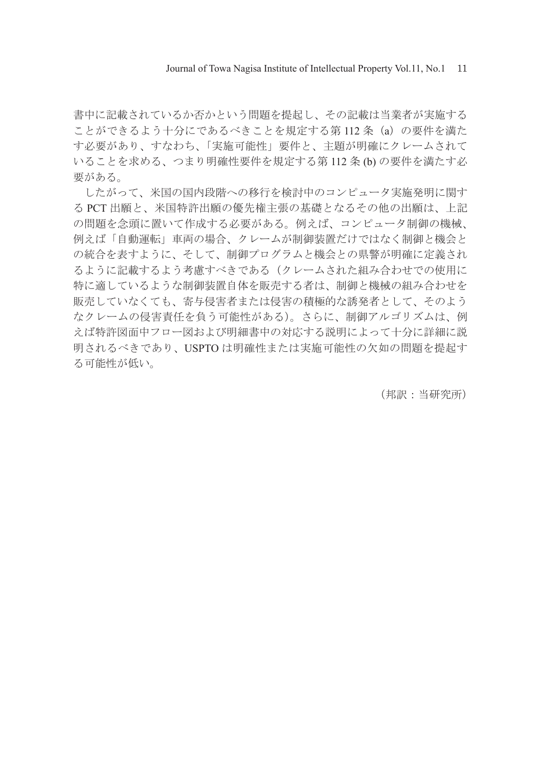Journal of Towa Nagisa Institute of Intellectual Property Vol.11, No.1 11

書中に記載されているか否かという問題を提起し、その記載は当業者が実施する ことができるよう十分にであるべきことを規定する第 112 条(a)の要件を満た す必要があり、すなわち、「実施可能性」要件と、主題が明確にクレームされて いることを求める、つまり明確性要件を規定する第 112 条 (b) の要件を満たす必 要がある。

 したがって、米国の国内段階への移行を検討中のコンピュータ実施発明に関す る PCT 出願と、米国特許出願の優先権主張の基礎となるその他の出願は、上記 の問題を念頭に置いて作成する必要がある。例えば、コンピュータ制御の機械、 例えば「自動運転」車両の場合、クレームが制御装置だけではなく制御と機会と の統合を表すように、そして、制御プログラムと機会との県警が明確に定義され るように記載するよう考慮すべきである(クレームされた組み合わせでの使用に 特に適しているような制御装置自体を販売する者は、制御と機械の組み合わせを 販売していなくても、寄与侵害者または侵害の積極的な誘発者として、そのよう なクレームの侵害責任を負う可能性がある)。さらに、制御アルゴリズムは、例 えば特許図面中フロー図および明細書中の対応する説明によって十分に詳細に説 明されるべきであり、USPTO は明確性または実施可能性の欠如の問題を提起す る可能性が低い。

(邦訳:当研究所)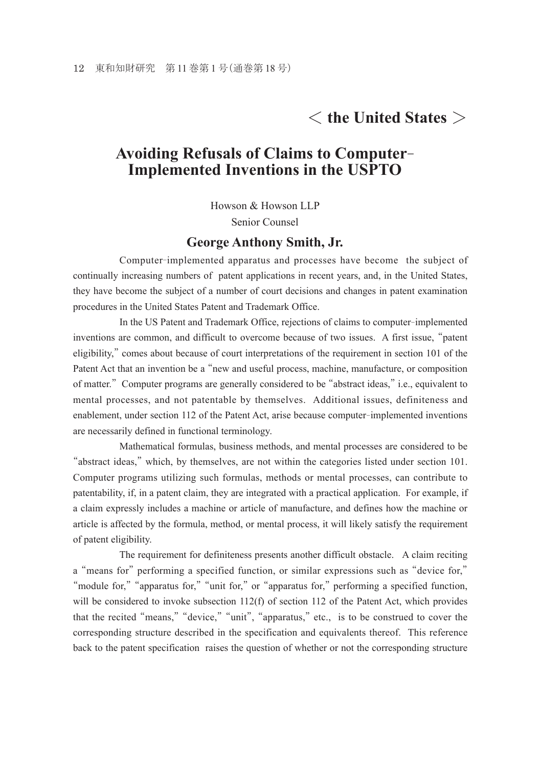# < **the United States** >

### **Avoiding Refusals of Claims to Computer- Implemented Inventions in the USPTO**

Howson & Howson LLP

Senior Counsel

#### **George Anthony Smith, Jr.**

 Computer-implemented apparatus and processes have become the subject of continually increasing numbers of patent applications in recent years, and, in the United States, they have become the subject of a number of court decisions and changes in patent examination procedures in the United States Patent and Trademark Office.

 In the US Patent and Trademark Office, rejections of claims to computer-implemented inventions are common, and difficult to overcome because of two issues. A first issue, "patent eligibility," comes about because of court interpretations of the requirement in section 101 of the Patent Act that an invention be a "new and useful process, machine, manufacture, or composition of matter." Computer programs are generally considered to be "abstract ideas," i.e., equivalent to mental processes, and not patentable by themselves. Additional issues, definiteness and enablement, under section 112 of the Patent Act, arise because computer-implemented inventions are necessarily defined in functional terminology.

 Mathematical formulas, business methods, and mental processes are considered to be "abstract ideas," which, by themselves, are not within the categories listed under section 101. Computer programs utilizing such formulas, methods or mental processes, can contribute to patentability, if, in a patent claim, they are integrated with a practical application. For example, if a claim expressly includes a machine or article of manufacture, and defines how the machine or article is affected by the formula, method, or mental process, it will likely satisfy the requirement of patent eligibility.

 The requirement for definiteness presents another difficult obstacle. A claim reciting a "means for" performing a specified function, or similar expressions such as "device for," "module for," "apparatus for," "unit for," or "apparatus for," performing a specified function, will be considered to invoke subsection 112(f) of section 112 of the Patent Act, which provides that the recited "means,""device,""unit", "apparatus," etc., is to be construed to cover the corresponding structure described in the specification and equivalents thereof. This reference back to the patent specification raises the question of whether or not the corresponding structure